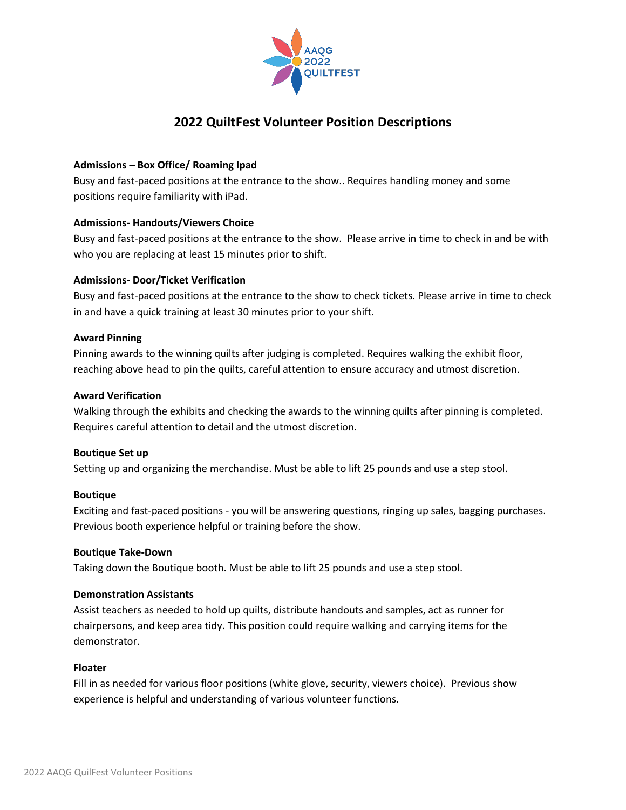

# **2022 QuiltFest Volunteer Position Descriptions**

# **Admissions – Box Office/ Roaming Ipad**

Busy and fast-paced positions at the entrance to the show.. Requires handling money and some positions require familiarity with iPad.

## **Admissions- Handouts/Viewers Choice**

Busy and fast-paced positions at the entrance to the show. Please arrive in time to check in and be with who you are replacing at least 15 minutes prior to shift.

# **Admissions- Door/Ticket Verification**

Busy and fast-paced positions at the entrance to the show to check tickets. Please arrive in time to check in and have a quick training at least 30 minutes prior to your shift.

## **Award Pinning**

Pinning awards to the winning quilts after judging is completed. Requires walking the exhibit floor, reaching above head to pin the quilts, careful attention to ensure accuracy and utmost discretion.

## **Award Verification**

Walking through the exhibits and checking the awards to the winning quilts after pinning is completed. Requires careful attention to detail and the utmost discretion.

# **Boutique Set up**

Setting up and organizing the merchandise. Must be able to lift 25 pounds and use a step stool.

## **Boutique**

Exciting and fast-paced positions - you will be answering questions, ringing up sales, bagging purchases. Previous booth experience helpful or training before the show.

## **Boutique Take-Down**

Taking down the Boutique booth. Must be able to lift 25 pounds and use a step stool.

## **Demonstration Assistants**

Assist teachers as needed to hold up quilts, distribute handouts and samples, act as runner for chairpersons, and keep area tidy. This position could require walking and carrying items for the demonstrator.

## **Floater**

Fill in as needed for various floor positions (white glove, security, viewers choice). Previous show experience is helpful and understanding of various volunteer functions.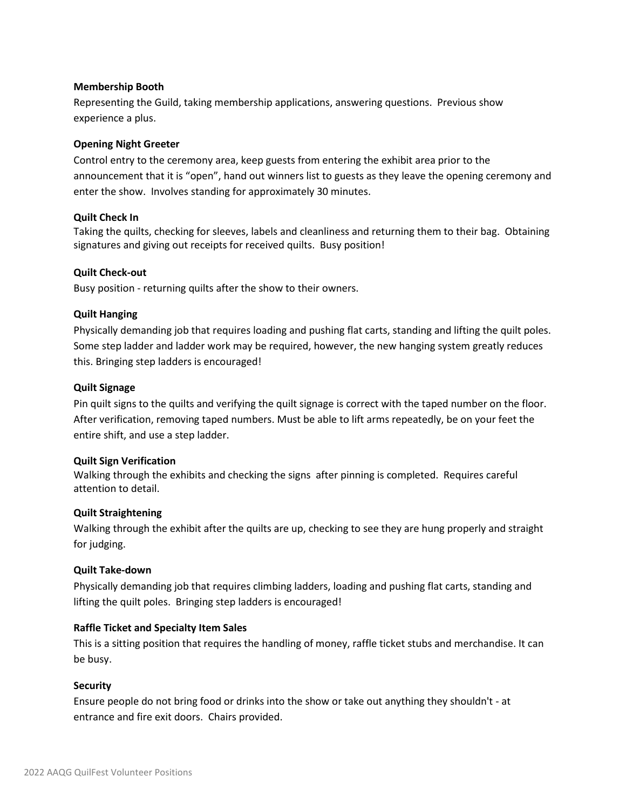#### **Membership Booth**

Representing the Guild, taking membership applications, answering questions. Previous show experience a plus.

#### **Opening Night Greeter**

Control entry to the ceremony area, keep guests from entering the exhibit area prior to the announcement that it is "open", hand out winners list to guests as they leave the opening ceremony and enter the show. Involves standing for approximately 30 minutes.

## **Quilt Check In**

Taking the quilts, checking for sleeves, labels and cleanliness and returning them to their bag. Obtaining signatures and giving out receipts for received quilts. Busy position!

#### **Quilt Check-out**

Busy position - returning quilts after the show to their owners.

#### **Quilt Hanging**

Physically demanding job that requires loading and pushing flat carts, standing and lifting the quilt poles. Some step ladder and ladder work may be required, however, the new hanging system greatly reduces this. Bringing step ladders is encouraged!

#### **Quilt Signage**

Pin quilt signs to the quilts and verifying the quilt signage is correct with the taped number on the floor. After verification, removing taped numbers. Must be able to lift arms repeatedly, be on your feet the entire shift, and use a step ladder.

#### **Quilt Sign Verification**

Walking through the exhibits and checking the signs after pinning is completed. Requires careful attention to detail.

## **Quilt Straightening**

Walking through the exhibit after the quilts are up, checking to see they are hung properly and straight for judging.

#### **Quilt Take-down**

Physically demanding job that requires climbing ladders, loading and pushing flat carts, standing and lifting the quilt poles. Bringing step ladders is encouraged!

## **Raffle Ticket and Specialty Item Sales**

This is a sitting position that requires the handling of money, raffle ticket stubs and merchandise. It can be busy.

## **Security**

Ensure people do not bring food or drinks into the show or take out anything they shouldn't - at entrance and fire exit doors. Chairs provided.